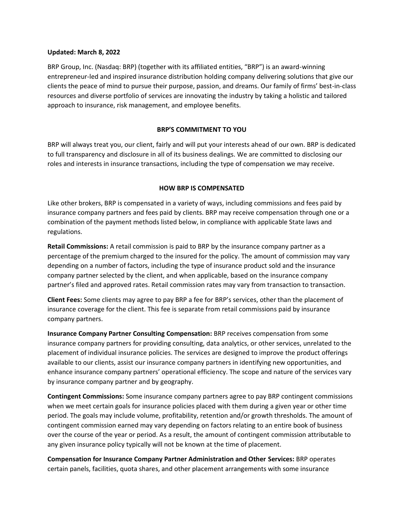#### **Updated: March 8, 2022**

BRP Group, Inc. (Nasdaq: BRP) (together with its affiliated entities, "BRP") is an award-winning entrepreneur-led and inspired insurance distribution holding company delivering solutions that give our clients the peace of mind to pursue their purpose, passion, and dreams. Our family of firms' best-in-class resources and diverse portfolio of services are innovating the industry by taking a holistic and tailored approach to insurance, risk management, and employee benefits.

## **BRP'S COMMITMENT TO YOU**

BRP will always treat you, our client, fairly and will put your interests ahead of our own. BRP is dedicated to full transparency and disclosure in all of its business dealings. We are committed to disclosing our roles and interests in insurance transactions, including the type of compensation we may receive.

# **HOW BRP IS COMPENSATED**

Like other brokers, BRP is compensated in a variety of ways, including commissions and fees paid by insurance company partners and fees paid by clients. BRP may receive compensation through one or a combination of the payment methods listed below, in compliance with applicable State laws and regulations.

**Retail Commissions:** A retail commission is paid to BRP by the insurance company partner as a percentage of the premium charged to the insured for the policy. The amount of commission may vary depending on a number of factors, including the type of insurance product sold and the insurance company partner selected by the client, and when applicable, based on the insurance company partner's filed and approved rates. Retail commission rates may vary from transaction to transaction.

**Client Fees:** Some clients may agree to pay BRP a fee for BRP's services, other than the placement of insurance coverage for the client. This fee is separate from retail commissions paid by insurance company partners.

**Insurance Company Partner Consulting Compensation:** BRP receives compensation from some insurance company partners for providing consulting, data analytics, or other services, unrelated to the placement of individual insurance policies. The services are designed to improve the product offerings available to our clients, assist our insurance company partners in identifying new opportunities, and enhance insurance company partners' operational efficiency. The scope and nature of the services vary by insurance company partner and by geography.

**Contingent Commissions:** Some insurance company partners agree to pay BRP contingent commissions when we meet certain goals for insurance policies placed with them during a given year or other time period. The goals may include volume, profitability, retention and/or growth thresholds. The amount of contingent commission earned may vary depending on factors relating to an entire book of business over the course of the year or period. As a result, the amount of contingent commission attributable to any given insurance policy typically will not be known at the time of placement.

**Compensation for Insurance Company Partner Administration and Other Services:** BRP operates certain panels, facilities, quota shares, and other placement arrangements with some insurance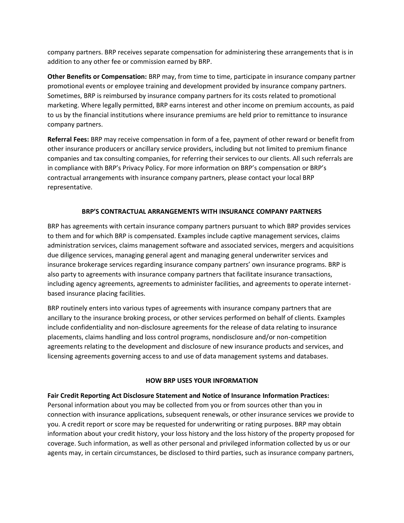company partners. BRP receives separate compensation for administering these arrangements that is in addition to any other fee or commission earned by BRP.

**Other Benefits or Compensation:** BRP may, from time to time, participate in insurance company partner promotional events or employee training and development provided by insurance company partners. Sometimes, BRP is reimbursed by insurance company partners for its costs related to promotional marketing. Where legally permitted, BRP earns interest and other income on premium accounts, as paid to us by the financial institutions where insurance premiums are held prior to remittance to insurance company partners.

**Referral Fees:** BRP may receive compensation in form of a fee, payment of other reward or benefit from other insurance producers or ancillary service providers, including but not limited to premium finance companies and tax consulting companies, for referring their services to our clients. All such referrals are in compliance with BRP's Privacy Policy. For more information on BRP's compensation or BRP's contractual arrangements with insurance company partners, please contact your local BRP representative.

# **BRP'S CONTRACTUAL ARRANGEMENTS WITH INSURANCE COMPANY PARTNERS**

BRP has agreements with certain insurance company partners pursuant to which BRP provides services to them and for which BRP is compensated. Examples include captive management services, claims administration services, claims management software and associated services, mergers and acquisitions due diligence services, managing general agent and managing general underwriter services and insurance brokerage services regarding insurance company partners' own insurance programs. BRP is also party to agreements with insurance company partners that facilitate insurance transactions, including agency agreements, agreements to administer facilities, and agreements to operate internetbased insurance placing facilities.

BRP routinely enters into various types of agreements with insurance company partners that are ancillary to the insurance broking process, or other services performed on behalf of clients. Examples include confidentiality and non-disclosure agreements for the release of data relating to insurance placements, claims handling and loss control programs, nondisclosure and/or non-competition agreements relating to the development and disclosure of new insurance products and services, and licensing agreements governing access to and use of data management systems and databases.

### **HOW BRP USES YOUR INFORMATION**

### **Fair Credit Reporting Act Disclosure Statement and Notice of Insurance Information Practices:**

Personal information about you may be collected from you or from sources other than you in connection with insurance applications, subsequent renewals, or other insurance services we provide to you. A credit report or score may be requested for underwriting or rating purposes. BRP may obtain information about your credit history, your loss history and the loss history of the property proposed for coverage. Such information, as well as other personal and privileged information collected by us or our agents may, in certain circumstances, be disclosed to third parties, such as insurance company partners,